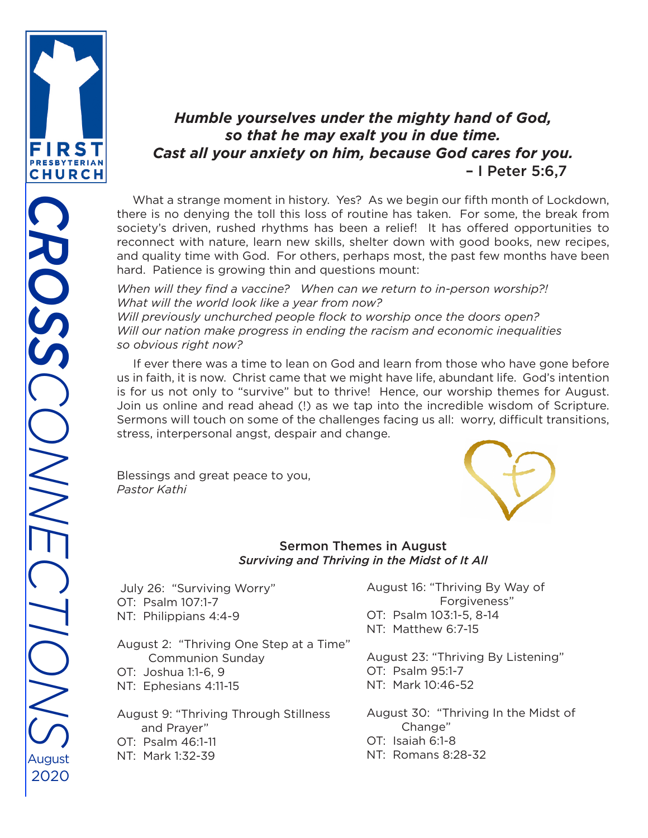

## *Humble yourselves under the mighty hand of God, so that he may exalt you in due time. Cast all your anxiety on him, because God cares for you.* – I Peter 5:6,7

 What a strange moment in history. Yes? As we begin our fifth month of Lockdown, there is no denying the toll this loss of routine has taken. For some, the break from society's driven, rushed rhythms has been a relief! It has offered opportunities to reconnect with nature, learn new skills, shelter down with good books, new recipes, and quality time with God. For others, perhaps most, the past few months have been hard. Patience is growing thin and questions mount:

*When will they find a vaccine? When can we return to in-person worship?! What will the world look like a year from now? Will previously unchurched people flock to worship once the doors open? Will our nation make progress in ending the racism and economic inequalities so obvious right now?* 

 If ever there was a time to lean on God and learn from those who have gone before us in faith, it is now. Christ came that we might have life, abundant life. God's intention is for us not only to "survive" but to thrive! Hence, our worship themes for August. Join us online and read ahead (!) as we tap into the incredible wisdom of Scripture. Sermons will touch on some of the challenges facing us all: worry, difficult transitions, stress, interpersonal angst, despair and change.

Blessings and great peace to you, *Pastor Kathi*



#### Sermon Themes in August *Surviving and Thriving in the Midst of It All*

 July 26: "Surviving Worry" OT: Psalm 107:1-7 NT: Philippians 4:4-9

August 2: "Thriving One Step at a Time" Communion Sunday OT: Joshua 1:1-6, 9 NT: Ephesians 4:11-15

August 9: "Thriving Through Stillness and Prayer" OT: Psalm 46:1-11 NT: Mark 1:32-39

August 16: "Thriving By Way of Forgiveness" OT: Psalm 103:1-5, 8-14 NT: Matthew 6:7-15

August 23: "Thriving By Listening" OT: Psalm 95:1-7 NT: Mark 10:46-52

August 30: "Thriving In the Midst of Change" OT: Isaiah 6:1-8 NT: Romans 8:28-32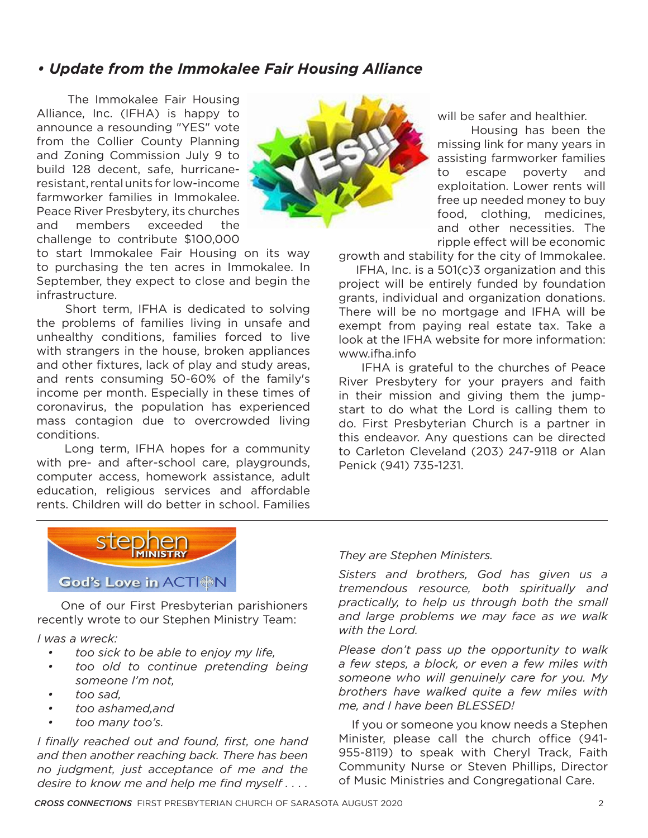## *• Update from the Immokalee Fair Housing Alliance*

 The Immokalee Fair Housing Alliance, Inc. (IFHA) is happy to announce a resounding "YES" vote from the Collier County Planning and Zoning Commission July 9 to build 128 decent, safe, hurricaneresistant, rental units for low-income farmworker families in Immokalee. Peace River Presbytery, its churches and members exceeded the challenge to contribute \$100,000



to start Immokalee Fair Housing on its way to purchasing the ten acres in Immokalee. In September, they expect to close and begin the infrastructure.

 Short term, IFHA is dedicated to solving the problems of families living in unsafe and unhealthy conditions, families forced to live with strangers in the house, broken appliances and other fixtures, lack of play and study areas, and rents consuming 50-60% of the family's income per month. Especially in these times of coronavirus, the population has experienced mass contagion due to overcrowded living conditions.

 Long term, IFHA hopes for a community with pre- and after-school care, playgrounds, computer access, homework assistance, adult education, religious services and affordable rents. Children will do better in school. Families

will be safer and healthier.

 Housing has been the missing link for many years in assisting farmworker families to escape poverty and exploitation. Lower rents will free up needed money to buy food, clothing, medicines, and other necessities. The ripple effect will be economic

growth and stability for the city of Immokalee.

 IFHA, Inc. is a 501(c)3 organization and this project will be entirely funded by foundation grants, individual and organization donations. There will be no mortgage and IFHA will be exempt from paying real estate tax. Take a look at the IFHA website for more information: www.ifha.info

 IFHA is grateful to the churches of Peace River Presbytery for your prayers and faith in their mission and giving them the jumpstart to do what the Lord is calling them to do. First Presbyterian Church is a partner in this endeavor. Any questions can be directed to Carleton Cleveland (203) 247-9118 or Alan Penick (941) 735-1231.



 One of our First Presbyterian parishioners recently wrote to our Stephen Ministry Team:

*I was a wreck:*

- *• too sick to be able to enjoy my life,*
- *• too old to continue pretending being someone I'm not,*
- *• too sad,*
- *• too ashamed,and*
- *• too many too's.*

*I finally reached out and found, first, one hand and then another reaching back. There has been no judgment, just acceptance of me and the desire to know me and help me find myself . . . .* 

#### *They are Stephen Ministers.*

*Sisters and brothers, God has given us a tremendous resource, both spiritually and practically, to help us through both the small and large problems we may face as we walk with the Lord.*

*Please don't pass up the opportunity to walk a few steps, a block, or even a few miles with someone who will genuinely care for you. My brothers have walked quite a few miles with me, and I have been BLESSED!*

 If you or someone you know needs a Stephen Minister, please call the church office (941- 955-8119) to speak with Cheryl Track, Faith Community Nurse or Steven Phillips, Director of Music Ministries and Congregational Care.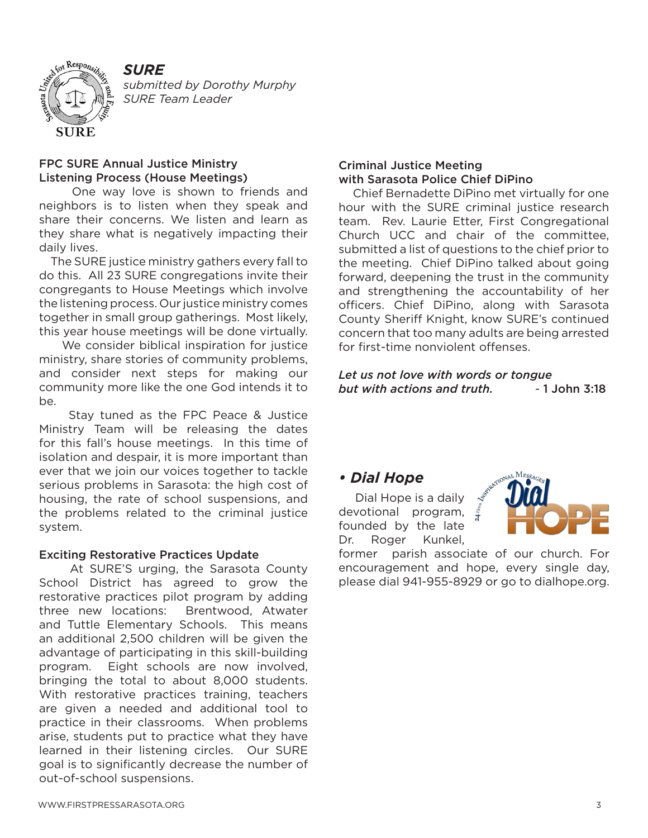

 *submitted by Dorothy Murphy SURE Team Leader*

#### FPC SURE Annual Justice Ministry Listening Process (House Meetings)

 One way love is shown to friends and neighbors is to listen when they speak and share their concerns. We listen and learn as they share what is negatively impacting their daily lives.

 The SURE justice ministry gathers every fall to do this. All 23 SURE congregations invite their congregants to House Meetings which involve the listening process. Our justice ministry comes together in small group gatherings. Most likely, this year house meetings will be done virtually.

 We consider biblical inspiration for justice ministry, share stories of community problems, and consider next steps for making our community more like the one God intends it to be.

 Stay tuned as the FPC Peace & Justice Ministry Team will be releasing the dates for this fall's house meetings. In this time of isolation and despair, it is more important than ever that we join our voices together to tackle serious problems in Sarasota: the high cost of housing, the rate of school suspensions, and the problems related to the criminal justice system.

#### Exciting Restorative Practices Update

 At SURE'S urging, the Sarasota County School District has agreed to grow the restorative practices pilot program by adding three new locations: Brentwood, Atwater and Tuttle Elementary Schools. This means an additional 2,500 children will be given the advantage of participating in this skill-building program. Eight schools are now involved, bringing the total to about 8,000 students. With restorative practices training, teachers are given a needed and additional tool to practice in their classrooms. When problems arise, students put to practice what they have learned in their listening circles. Our SURE goal is to significantly decrease the number of out-of-school suspensions.

#### Criminal Justice Meeting with Sarasota Police Chief DiPino

 Chief Bernadette DiPino met virtually for one hour with the SURE criminal justice research team. Rev. Laurie Etter, First Congregational Church UCC and chair of the committee, submitted a list of questions to the chief prior to the meeting. Chief DiPino talked about going forward, deepening the trust in the community and strengthening the accountability of her officers. Chief DiPino, along with Sarasota County Sheriff Knight, know SURE's continued concern that too many adults are being arrested for first-time nonviolent offenses.

*Let us not love with words or tongue but with actions and truth.* - 1 John 3:18

#### *• Dial Hope*

 Dial Hope is a daily devotional program, founded by the late Dr. Roger Kunkel,

former parish associate of our church. For encouragement and hope, every single day, please dial 941-955-8929 or go to dialhope.org.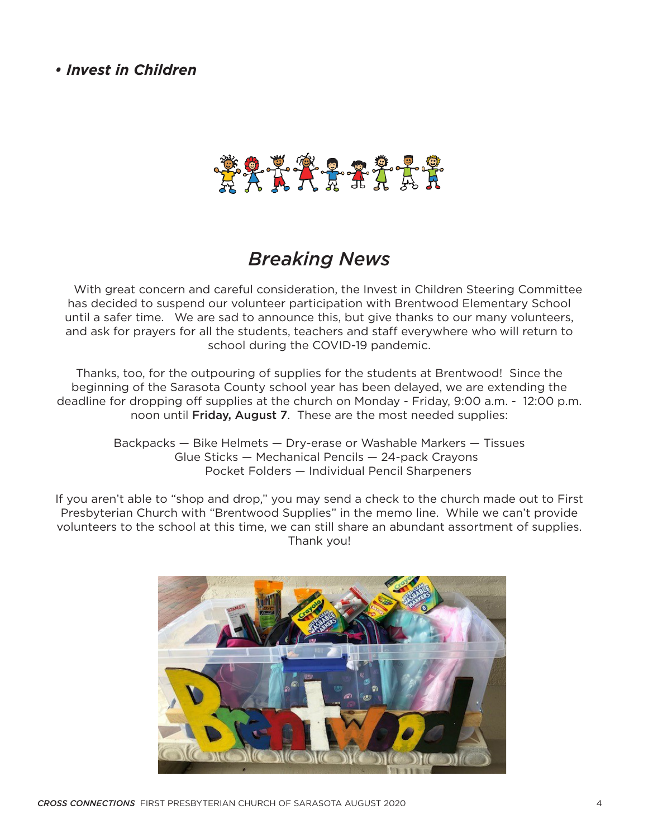*• Invest in Children*



# *Breaking News*

 With great concern and careful consideration, the Invest in Children Steering Committee has decided to suspend our volunteer participation with Brentwood Elementary School until a safer time. We are sad to announce this, but give thanks to our many volunteers, and ask for prayers for all the students, teachers and staff everywhere who will return to school during the COVID-19 pandemic.

Thanks, too, for the outpouring of supplies for the students at Brentwood! Since the beginning of the Sarasota County school year has been delayed, we are extending the deadline for dropping off supplies at the church on Monday - Friday, 9:00 a.m. - 12:00 p.m. noon until Friday, August 7. These are the most needed supplies:

> Backpacks — Bike Helmets — Dry-erase or Washable Markers — Tissues Glue Sticks — Mechanical Pencils — 24-pack Crayons Pocket Folders — Individual Pencil Sharpeners

If you aren't able to "shop and drop," you may send a check to the church made out to First Presbyterian Church with "Brentwood Supplies" in the memo line. While we can't provide volunteers to the school at this time, we can still share an abundant assortment of supplies. Thank you!

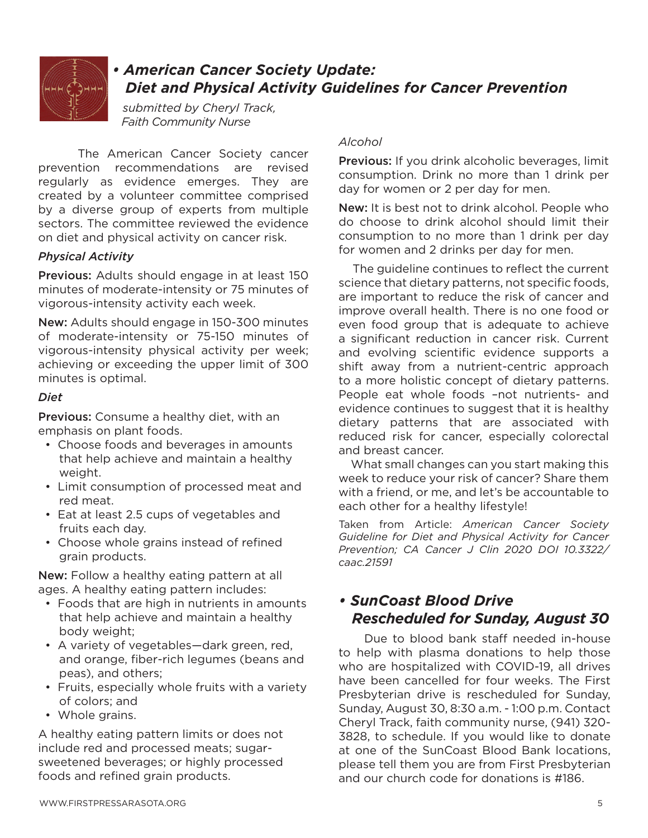

## *• American Cancer Society Update: Diet and Physical Activity Guidelines for Cancer Prevention*

 *submitted by Cheryl Track, Faith Community Nurse*

 The American Cancer Society cancer prevention recommendations are revised regularly as evidence emerges. They are created by a volunteer committee comprised by a diverse group of experts from multiple sectors. The committee reviewed the evidence on diet and physical activity on cancer risk.

## *Physical Activity*

Previous: Adults should engage in at least 150 minutes of moderate-intensity or 75 minutes of vigorous-intensity activity each week.

New: Adults should engage in 150-300 minutes of moderate-intensity or 75-150 minutes of vigorous-intensity physical activity per week; achieving or exceeding the upper limit of 300 minutes is optimal.

#### *Diet*

**Previous:** Consume a healthy diet, with an emphasis on plant foods.

- Choose foods and beverages in amounts that help achieve and maintain a healthy weight.
- Limit consumption of processed meat and red meat.
- Eat at least 2.5 cups of vegetables and fruits each day.
- Choose whole grains instead of refined grain products.

New: Follow a healthy eating pattern at all ages. A healthy eating pattern includes:

- Foods that are high in nutrients in amounts that help achieve and maintain a healthy body weight;
- A variety of vegetables—dark green, red, and orange, fiber-rich legumes (beans and peas), and others;
- Fruits, especially whole fruits with a variety of colors; and
- Whole grains.

A healthy eating pattern limits or does not include red and processed meats; sugarsweetened beverages; or highly processed foods and refined grain products.

### *Alcohol*

Previous: If you drink alcoholic beverages, limit consumption. Drink no more than 1 drink per day for women or 2 per day for men.

New: It is best not to drink alcohol. People who do choose to drink alcohol should limit their consumption to no more than 1 drink per day for women and 2 drinks per day for men.

 The guideline continues to reflect the current science that dietary patterns, not specific foods, are important to reduce the risk of cancer and improve overall health. There is no one food or even food group that is adequate to achieve a significant reduction in cancer risk. Current and evolving scientific evidence supports a shift away from a nutrient-centric approach to a more holistic concept of dietary patterns. People eat whole foods –not nutrients- and evidence continues to suggest that it is healthy dietary patterns that are associated with reduced risk for cancer, especially colorectal and breast cancer.

 What small changes can you start making this week to reduce your risk of cancer? Share them with a friend, or me, and let's be accountable to each other for a healthy lifestyle!

Taken from Article: *American Cancer Society Guideline for Diet and Physical Activity for Cancer Prevention; CA Cancer J Clin 2020 DOI 10.3322/ caac.21591*

## *• SunCoast Blood Drive Rescheduled for Sunday, August 30*

 Due to blood bank staff needed in-house to help with plasma donations to help those who are hospitalized with COVID-19, all drives have been cancelled for four weeks. The First Presbyterian drive is rescheduled for Sunday, Sunday, August 30, 8:30 a.m. - 1:00 p.m. Contact Cheryl Track, faith community nurse, (941) 320- 3828, to schedule. If you would like to donate at one of the SunCoast Blood Bank locations, please tell them you are from First Presbyterian and our church code for donations is #186.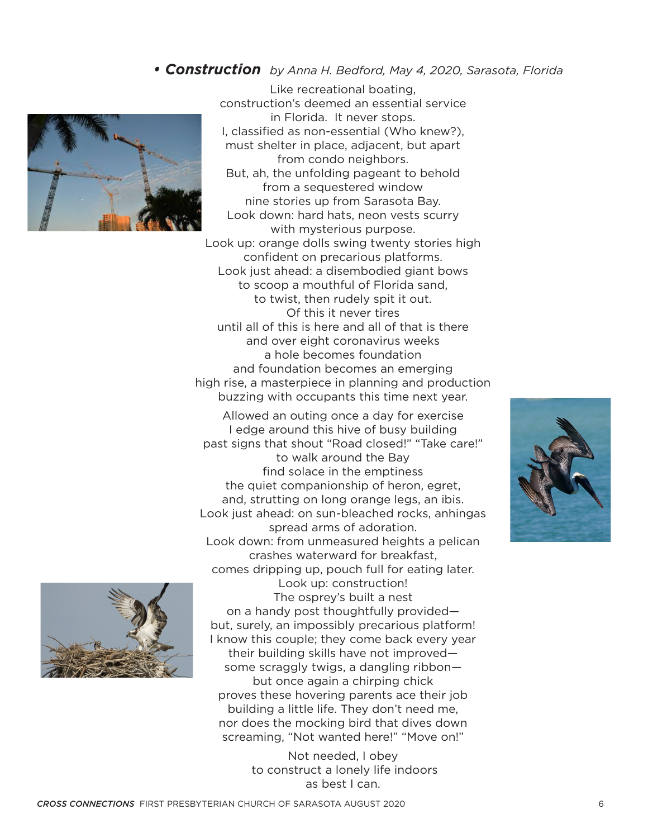## *• Construction by Anna H. Bedford, May 4, 2020, Sarasota, Florida*



Like recreational boating, construction's deemed an essential service in Florida. It never stops. I, classified as non-essential (Who knew?), must shelter in place, adjacent, but apart from condo neighbors. But, ah, the unfolding pageant to behold from a sequestered window nine stories up from Sarasota Bay. Look down: hard hats, neon vests scurry with mysterious purpose. Look up: orange dolls swing twenty stories high confident on precarious platforms. Look just ahead: a disembodied giant bows to scoop a mouthful of Florida sand, to twist, then rudely spit it out. Of this it never tires until all of this is here and all of that is there and over eight coronavirus weeks a hole becomes foundation and foundation becomes an emerging high rise, a masterpiece in planning and production buzzing with occupants this time next year.

Allowed an outing once a day for exercise I edge around this hive of busy building past signs that shout "Road closed!" "Take care!" to walk around the Bay find solace in the emptiness the quiet companionship of heron, egret, and, strutting on long orange legs, an ibis. Look just ahead: on sun-bleached rocks, anhingas spread arms of adoration. Look down: from unmeasured heights a pelican crashes waterward for breakfast, comes dripping up, pouch full for eating later.



Look up: construction! The osprey's built a nest on a handy post thoughtfully provided but, surely, an impossibly precarious platform! I know this couple; they come back every year their building skills have not improved some scraggly twigs, a dangling ribbon but once again a chirping chick proves these hovering parents ace their job building a little life. They don't need me, nor does the mocking bird that dives down screaming, "Not wanted here!" "Move on!"

> Not needed, I obey to construct a lonely life indoors as best I can.

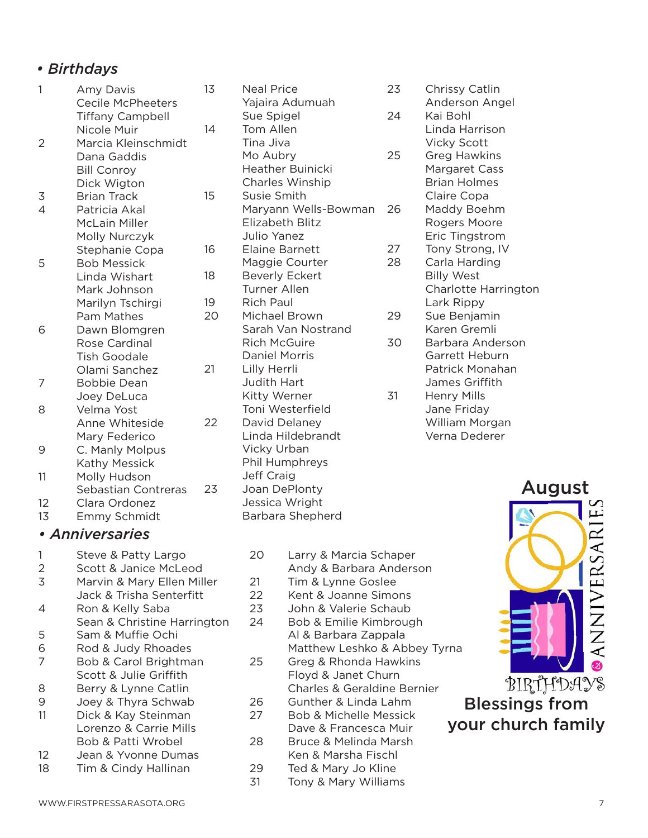## *• Birthdays*

| 1      | Amy Davis<br><b>Cecile McPheeters</b>              | 13 | <b>Neal Price</b><br>Yajaira Adumua                 |
|--------|----------------------------------------------------|----|-----------------------------------------------------|
|        | <b>Tiffany Campbell</b>                            | 14 | Sue Spigel                                          |
| 2      | Nicole Muir<br>Marcia Kleinschmidt                 |    | Tom Allen<br>Tina Jiva                              |
|        | Dana Gaddis                                        |    | Mo Aubry                                            |
|        | <b>Bill Conroy</b>                                 |    | <b>Heather Buinic</b>                               |
|        | Dick Wigton                                        |    | Charles Winshi                                      |
| 3      | <b>Brian Track</b>                                 | 15 | Susie Smith                                         |
| 4      | Patricia Akal                                      |    | Maryann Wells-                                      |
|        | McLain Miller                                      |    | Elizabeth Blitz                                     |
|        | Molly Nurczyk                                      |    | Julio Yanez                                         |
|        | Stephanie Copa                                     | 16 | Elaine Barnett                                      |
| 5      | <b>Bob Messick</b>                                 |    | Maggie Courte                                       |
|        | Linda Wishart                                      | 18 | <b>Beverly Eckert</b>                               |
|        | Mark Johnson                                       |    | <b>Turner Allen</b>                                 |
|        | Marilyn Tschirgi                                   | 19 | <b>Rich Paul</b>                                    |
|        | <b>Pam Mathes</b>                                  | 20 | Michael Brown<br>Sarah Van Nost                     |
| 6      | Dawn Blomgren<br>Rose Cardinal                     |    | <b>Rich McGuire</b>                                 |
|        | <b>Tish Goodale</b>                                |    | <b>Daniel Morris</b>                                |
|        | Olami Sanchez                                      | 21 | Lilly Herrli                                        |
| 7      | <b>Bobbie Dean</b>                                 |    | Judith Hart                                         |
|        | Joey DeLuca                                        |    | Kitty Werner                                        |
| 8      | Velma Yost                                         |    | Toni Westerfiel                                     |
|        | Anne Whiteside                                     | 22 | David Delaney                                       |
|        | Mary Federico                                      |    | Linda Hildebraı                                     |
| 9      | C. Manly Molpus                                    |    | Vicky Urban                                         |
|        | Kathy Messick                                      |    | Phil Humphrey:                                      |
| 11     | Molly Hudson                                       |    | Jeff Craig                                          |
| $\sim$ | Sebastian Contreras<br>$\sim$ $\sim$ $\sim$ $\sim$ | 23 | Joan DePlonty<br>اللمانة فالفاف والمتواط والمتحددات |
|        |                                                    |    |                                                     |

- 12 Clara Ordonez
- 13 Emmy Schmidt

## *• Anniversaries*

- 1 Steve & Patty Largo
- 2 Scott & Janice McLeod
- 3 Marvin & Mary Ellen Miller Jack & Trisha Senterfitt
- 4 Ron & Kelly Saba Sean & Christine Harrington
- 5 Sam & Muffie Ochi
- 6 Rod & Judy Rhoades 7 Bob & Carol Brightman Scott & Julie Griffith
- 8 Berry & Lynne Catlin
- 9 Joey & Thyra Schwab
- 11 Dick & Kay Steinman Lorenzo & Carrie Mills Bob & Patti Wrobel
- 12 Jean & Yvonne Dumas
- 18 Tim & Cindy Hallinan

| 13 | <b>Neal Price</b>       | 23             |
|----|-------------------------|----------------|
|    | Yajaira Adumuah         |                |
|    | Sue Spigel              | 24             |
| 14 | Tom Allen               |                |
|    | Tina Jiva               |                |
|    | Mo Aubry                | 25             |
|    | <b>Heather Buinicki</b> |                |
|    | Charles Winship         |                |
| 15 | Susie Smith             |                |
|    | Maryann Wells-Bowman    | 26             |
|    | Elizabeth Blitz         |                |
|    | Julio Yanez             |                |
| 16 | <b>Elaine Barnett</b>   | 27             |
|    | Maggie Courter          | 28             |
| 18 | <b>Beverly Eckert</b>   |                |
|    | <b>Turner Allen</b>     |                |
| 19 | Rich Paul               |                |
| 20 | Michael Brown           | 29             |
|    | Sarah Van Nostrand      |                |
|    | <b>Rich McGuire</b>     | 3 <sub>C</sub> |
|    | <b>Daniel Morris</b>    |                |
| 21 | Lilly Herrli            |                |
|    | Judith Hart             |                |
|    | Kitty Werner            | 31             |
|    | Toni Westerfield        |                |
| 22 | David Delaney           |                |
|    | Linda Hildebrandt       |                |
|    | Vicky Urban             |                |

Phil Humphreys

Jessica Wright Barbara Shepherd

- Chrissy Catlin
	- Anderson Angel Kai Bohl Linda Harrison Vicky Scott
- **Greg Hawkins** Margaret Cass Brian Holmes Claire Copa Maddy Boehm
	- Rogers Moore Eric Tingstrom
	- Tony Strong, IV
- Carla Harding Billy West Charlotte Harrington Lark Rippy
- Sue Benjamin Karen Gremli
- 30 Barbara Anderson Garrett Heburn Patrick Monahan James Griffith
	- **Henry Mills** Jane Friday William Morgan Verna Dederer

- 20 Larry & Marcia Schaper
	- Andy & Barbara Anderson
- 21 Tim & Lynne Goslee
- 22 Kent & Joanne Simons
- 23 John & Valerie Schaub 24 Bob & Emilie Kimbrough
	- Al & Barbara Zappala Matthew Leshko & Abbey Tyrna
- 25 Greg & Rhonda Hawkins Floyd & Janet Churn Charles & Geraldine Bernier
- 26 Gunther & Linda Lahm
- 27 Bob & Michelle Messick Dave & Francesca Muir
- 28 Bruce & Melinda Marsh Ken & Marsha Fischl
- 29 Ted & Mary Jo Kline
- 31 Tony & Mary Williams



your church family